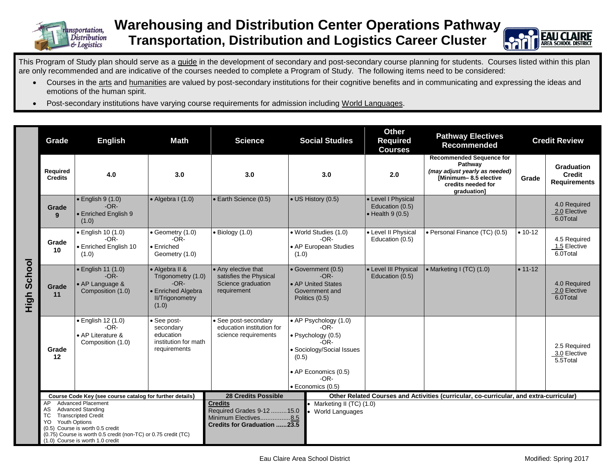

## **Warehousing and Distribution Center Operations Pathway Transportation, Distribution and Logistics Career Cluster**



This Program of Study plan should serve as a guide in the development of secondary and post-secondary course planning for students. Courses listed within this plan are only recommended and are indicative of the courses needed to complete a Program of Study. The following items need to be considered:

- Courses in the arts and humanities are valued by post-secondary institutions for their cognitive benefits and in communicating and expressing the ideas and emotions of the human spirit.
- Post-secondary institutions have varying course requirements for admission including World Languages.

|                | Grade                                                                                                                                                                                                                                                                                | <b>English</b>                                                         | <b>Math</b>                                                                                             | <b>Science</b>                                                                                                                                           | <b>Social Studies</b>                                                                                                                                              | <b>Other</b><br><b>Required</b><br><b>Courses</b>                 | <b>Pathway Electives</b><br>Recommended                                                                                                   | <b>Credit Review</b> |                                                    |
|----------------|--------------------------------------------------------------------------------------------------------------------------------------------------------------------------------------------------------------------------------------------------------------------------------------|------------------------------------------------------------------------|---------------------------------------------------------------------------------------------------------|----------------------------------------------------------------------------------------------------------------------------------------------------------|--------------------------------------------------------------------------------------------------------------------------------------------------------------------|-------------------------------------------------------------------|-------------------------------------------------------------------------------------------------------------------------------------------|----------------------|----------------------------------------------------|
| School<br>High | Required<br><b>Credits</b>                                                                                                                                                                                                                                                           | 4.0                                                                    | 3.0                                                                                                     | 3.0                                                                                                                                                      | 3.0                                                                                                                                                                | 2.0                                                               | <b>Recommended Sequence for</b><br>Pathway<br>(may adjust yearly as needed)<br>[Minimum-8.5 elective<br>credits needed for<br>graduation] | Grade                | Graduation<br><b>Credit</b><br><b>Requirements</b> |
|                | Grade<br>9                                                                                                                                                                                                                                                                           | $\bullet$ English 9 (1.0)<br>$-OR-$<br>• Enriched English 9<br>(1.0)   | $\bullet$ Algebra I (1.0)                                                                               | • Earth Science (0.5)                                                                                                                                    | • US History (0.5)                                                                                                                                                 | • Level I Physical<br>Education (0.5)<br>$\bullet$ Health 9 (0.5) |                                                                                                                                           |                      | 4.0 Required<br>2.0 Elective<br>6.0Total           |
|                | Grade<br>10                                                                                                                                                                                                                                                                          | · English 10 (1.0)<br>$-OR-$<br>• Enriched English 10<br>(1.0)         | • Geometry (1.0)<br>$-OR-$<br>$\bullet$ Enriched<br>Geometry (1.0)                                      | $\bullet$ Biology (1.0)                                                                                                                                  | · World Studies (1.0)<br>$-OR-$<br>• AP European Studies<br>(1.0)                                                                                                  | • Level II Physical<br>Education (0.5)                            | · Personal Finance (TC) (0.5)                                                                                                             | $• 10-12$            | 4.5 Required<br>1.5 Elective<br>6.0Total           |
|                | Grade<br>11                                                                                                                                                                                                                                                                          | • English 11 (1.0)<br>$-OR-$<br>• AP Language &<br>Composition (1.0)   | • Algebra II &<br>Trigonometry (1.0)<br>$-OR-$<br>• Enriched Algebra<br><b>II/Trigonometry</b><br>(1.0) | • Any elective that<br>satisfies the Physical<br>Science graduation<br>requirement                                                                       | • Government (0.5)<br>$-OR-$<br>• AP United States<br>Government and<br>Politics (0.5)                                                                             | • Level III Physical<br>Education (0.5)                           | • Marketing I (TC) (1.0)                                                                                                                  | $• 11 - 12$          | 4.0 Required<br>2.0 Elective<br>6.0Total           |
|                | Grade<br>12                                                                                                                                                                                                                                                                          | • English 12 (1.0)<br>$-OR-$<br>• AP Literature &<br>Composition (1.0) | See post-<br>secondary<br>education<br>institution for math<br>requirements                             | • See post-secondary<br>education institution for<br>science requirements                                                                                | • AP Psychology (1.0)<br>$-OR-$<br>$\bullet$ Psychology (0.5)<br>-OR-<br>• Sociology/Social Issues<br>(0.5)<br>• AP Economics (0.5)<br>$-OR-$<br>· Economics (0.5) |                                                                   |                                                                                                                                           |                      | 2.5 Required<br>3.0 Elective<br>5.5Total           |
|                | Course Code Key (see course catalog for further details)                                                                                                                                                                                                                             |                                                                        |                                                                                                         | <b>28 Credits Possible</b><br>Other Related Courses and Activities (curricular, co-curricular, and extra-curricular)                                     |                                                                                                                                                                    |                                                                   |                                                                                                                                           |                      |                                                    |
|                | <b>Advanced Placement</b><br>AP<br><b>Advanced Standing</b><br>AS<br><b>TC</b><br><b>Transcripted Credit</b><br><b>Youth Options</b><br>YO<br>(0.5) Course is worth 0.5 credit<br>(0.75) Course is worth 0.5 credit (non-TC) or 0.75 credit (TC)<br>(1.0) Course is worth 1.0 credit |                                                                        |                                                                                                         | <b>Credits</b><br>Marketing II (TC) (1.0)<br>Required Grades 9-12  15.0<br><b>World Languages</b><br>Minimum Electives8.5<br>Credits for Graduation 23.5 |                                                                                                                                                                    |                                                                   |                                                                                                                                           |                      |                                                    |